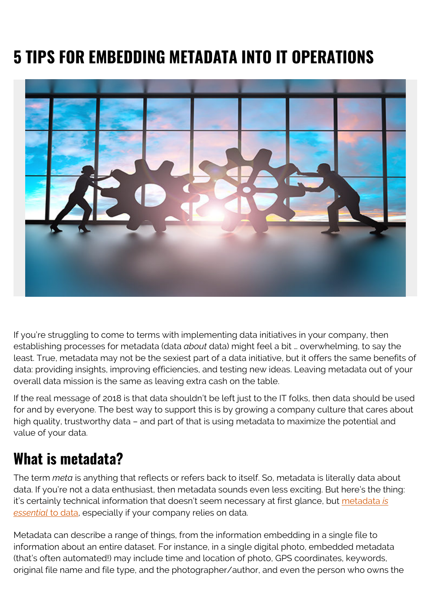## **5 TIPS FOR EMBEDDING METADATA INTO IT OPERATIONS**



If you're struggling to come to terms with implementing data initiatives in your company, then establishing processes for metadata (data *about* data) might feel a bit … overwhelming, to say the least. True, metadata may not be the sexiest part of a data initiative, but it offers the same benefits of data: providing insights, improving efficiencies, and testing new ideas. Leaving metadata out of your overall data mission is the same as leaving extra cash on the table.

If the real message of 2018 is that data shouldn't be left just to the IT folks, then data should be used for and by everyone. The best way to support this is by growing a company culture that cares about high quality, trustworthy data – and part of that is using metadata to maximize the potential and value of your data.

## **What is metadata?**

The term *meta* is anything that reflects or refers back to itself. So, metadata is literally data about data. If you're not a data enthusiast, then metadata sounds even less exciting. But here's the thing: it's certainly technical information that doesn't seem necessary at first glance, but [metadata](https://www.bcg.com/en-us/publications/2018/metadata-is-not-just-for-techies-anymore.aspx) *[is](https://www.bcg.com/en-us/publications/2018/metadata-is-not-just-for-techies-anymore.aspx) [essential](https://www.bcg.com/en-us/publications/2018/metadata-is-not-just-for-techies-anymore.aspx)* [to data](https://www.bcg.com/en-us/publications/2018/metadata-is-not-just-for-techies-anymore.aspx), especially if your company relies on data.

Metadata can describe a range of things, from the information embedding in a single file to information about an entire dataset. For instance, in a single digital photo, embedded metadata (that's often automated!) may include time and location of photo, GPS coordinates, keywords, original file name and file type, and the photographer/author, and even the person who owns the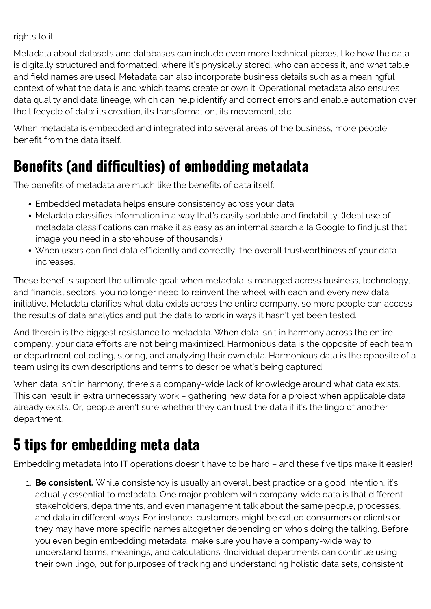rights to it.

Metadata about datasets and databases can include even more technical pieces, like how the data is digitally structured and formatted, where it's physically stored, who can access it, and what table and field names are used. Metadata can also incorporate business details such as a meaningful context of what the data is and which teams create or own it. Operational metadata also ensures data quality and data lineage, which can help identify and correct errors and enable automation over the lifecycle of data: its creation, its transformation, its movement, etc.

When metadata is embedded and integrated into several areas of the business, more people benefit from the data itself.

## **Benefits (and difficulties) of embedding metadata**

The benefits of metadata are much like the benefits of data itself:

- Embedded metadata helps ensure consistency across your data.
- Metadata classifies information in a way that's easily sortable and findability. (Ideal use of metadata classifications can make it as easy as an internal search a la Google to find just that image you need in a storehouse of thousands.)
- When users can find data efficiently and correctly, the overall trustworthiness of your data increases.

These benefits support the ultimate goal: when metadata is managed across business, technology, and financial sectors, you no longer need to reinvent the wheel with each and every new data initiative. Metadata clarifies what data exists across the entire company, so more people can access the results of data analytics and put the data to work in ways it hasn't yet been tested.

And therein is the biggest resistance to metadata. When data isn't in harmony across the entire company, your data efforts are not being maximized. Harmonious data is the opposite of each team or department collecting, storing, and analyzing their own data. Harmonious data is the opposite of a team using its own descriptions and terms to describe what's being captured.

When data isn't in harmony, there's a company-wide lack of knowledge around what data exists. This can result in extra unnecessary work – gathering new data for a project when applicable data already exists. Or, people aren't sure whether they can trust the data if it's the lingo of another department.

## **5 tips for embedding meta data**

Embedding metadata into IT operations doesn't have to be hard – and these five tips make it easier!

1. **Be consistent.** While consistency is usually an overall best practice or a good intention, it's actually essential to metadata. One major problem with company-wide data is that different stakeholders, departments, and even management talk about the same people, processes, and data in different ways. For instance, customers might be called consumers or clients or they may have more specific names altogether depending on who's doing the talking. Before you even begin embedding metadata, make sure you have a company-wide way to understand terms, meanings, and calculations. (Individual departments can continue using their own lingo, but for purposes of tracking and understanding holistic data sets, consistent